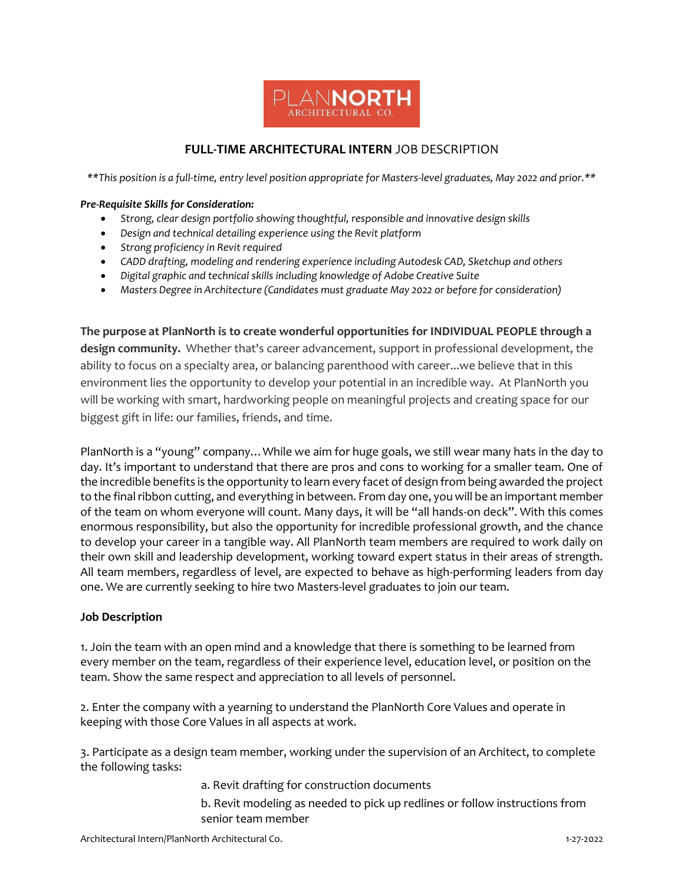

## **FULL-TIME ARCHITECTURAL INTERN** JOB DESCRIPTION

*\*\*This position is a full-time, entry level position appropriate for Masters-level graduates, May 2022 and prior.\*\**

## *Pre-Requisite Skills for Consideration:*

- *Strong, clear design portfolio showing thoughtful, responsible and innovative design skills*
- *Design and technical detailing experience using the Revit platform*
- *Strong proficiency in Revit required*
- *CADD drafting, modeling and rendering experience including Autodesk CAD, Sketchup and others*
- *Digital graphic and technical skills including knowledge of Adobe Creative Suite*
- *Masters Degree in Architecture (Candidates must graduate May 2022 or before for consideration)*

**The purpose at PlanNorth is to create wonderful opportunities for INDIVIDUAL PEOPLE through a design community.** Whether that's career advancement, support in professional development, the ability to focus on a specialty area, or balancing parenthood with career...we believe that in this environment lies the opportunity to develop your potential in an incredible way. At PlanNorth you will be working with smart, hardworking people on meaningful projects and creating space for our biggest gift in life: our families, friends, and time.

PlanNorth is a "young" company…While we aim for huge goals, we still wear many hats in the day to day. It's important to understand that there are pros and cons to working for a smaller team. One of the incredible benefits is the opportunity to learn every facet of design from being awarded the project to the final ribbon cutting, and everything in between. From day one, you will be an important member of the team on whom everyone will count. Many days, it will be "all hands-on deck". With this comes enormous responsibility, but also the opportunity for incredible professional growth, and the chance to develop your career in a tangible way. All PlanNorth team members are required to work daily on their own skill and leadership development, working toward expert status in their areas of strength. All team members, regardless of level, are expected to behave as high-performing leaders from day one. We are currently seeking to hire two Masters-level graduates to join our team.

## **Job Description**

1. Join the team with an open mind and a knowledge that there is something to be learned from every member on the team, regardless of their experience level, education level, or position on the team. Show the same respect and appreciation to all levels of personnel.

2. Enter the company with a yearning to understand the PlanNorth Core Values and operate in keeping with those Core Values in all aspects at work.

3. Participate as a design team member, working under the supervision of an Architect, to complete the following tasks:

- a. Revit drafting for construction documents
- b. Revit modeling as needed to pick up redlines or follow instructions from senior team member